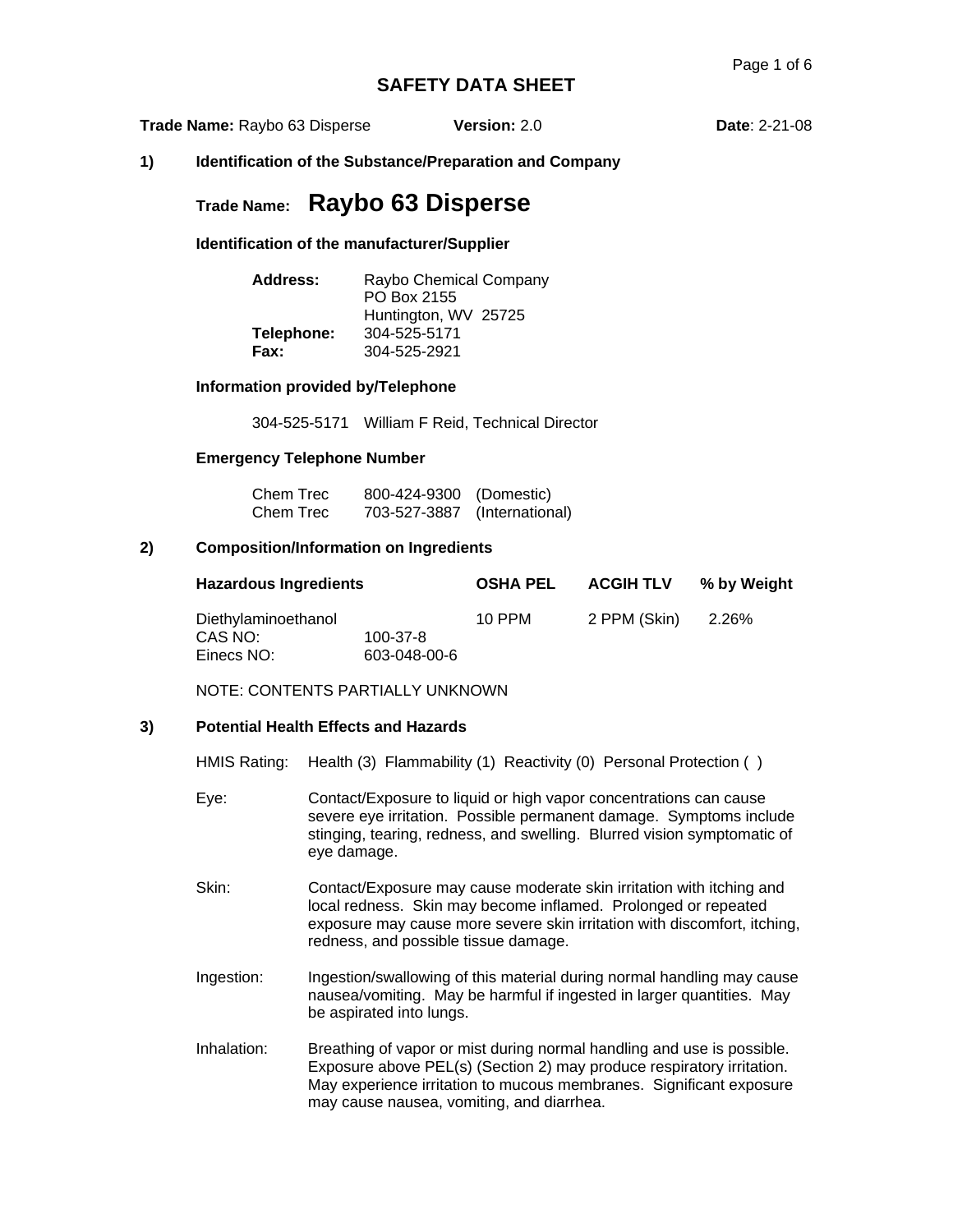**Trade Name:** Raybo 63 Disperse **Version:** 2.0 **Date**: 2-21-08

**1) Identification of the Substance/Preparation and Company** 

# **Trade Name: Raybo 63 Disperse**

**Identification of the manufacturer/Supplier** 

| Address:   | Raybo Chemical Company<br>PO Box 2155<br>Huntington, WV 25725 |
|------------|---------------------------------------------------------------|
| Telephone: | 304-525-5171                                                  |
| Fax:       | 304-525-2921                                                  |

#### **Information provided by/Telephone**

304-525-5171 William F Reid, Technical Director

#### **Emergency Telephone Number**

| Chem Trec | 800-424-9300 (Domestic)      |  |
|-----------|------------------------------|--|
| Chem Trec | 703-527-3887 (International) |  |

#### **2) Composition/Information on Ingredients**

| <b>Hazardous Ingredients</b>                 |                                | <b>OSHA PEL</b> | <b>ACGIH TLV</b> | % by Weight |
|----------------------------------------------|--------------------------------|-----------------|------------------|-------------|
| Diethylaminoethanol<br>CAS NO:<br>Einecs NO: | $100 - 37 - 8$<br>603-048-00-6 | 10 PPM          | 2 PPM (Skin)     | 2.26%       |

NOTE: CONTENTS PARTIALLY UNKNOWN

#### **3) Potential Health Effects and Hazards**

|  |  | HMIS Rating: Health (3) Flammability (1) Reactivity (0) Personal Protection () |  |
|--|--|--------------------------------------------------------------------------------|--|
|  |  |                                                                                |  |

- Eye: Contact/Exposure to liquid or high vapor concentrations can cause severe eye irritation. Possible permanent damage. Symptoms include stinging, tearing, redness, and swelling. Blurred vision symptomatic of eye damage.
- Skin: Contact/Exposure may cause moderate skin irritation with itching and local redness. Skin may become inflamed. Prolonged or repeated exposure may cause more severe skin irritation with discomfort, itching, redness, and possible tissue damage.
- Ingestion: Ingestion/swallowing of this material during normal handling may cause nausea/vomiting. May be harmful if ingested in larger quantities. May be aspirated into lungs.
- Inhalation: Breathing of vapor or mist during normal handling and use is possible. Exposure above PEL(s) (Section 2) may produce respiratory irritation. May experience irritation to mucous membranes. Significant exposure may cause nausea, vomiting, and diarrhea.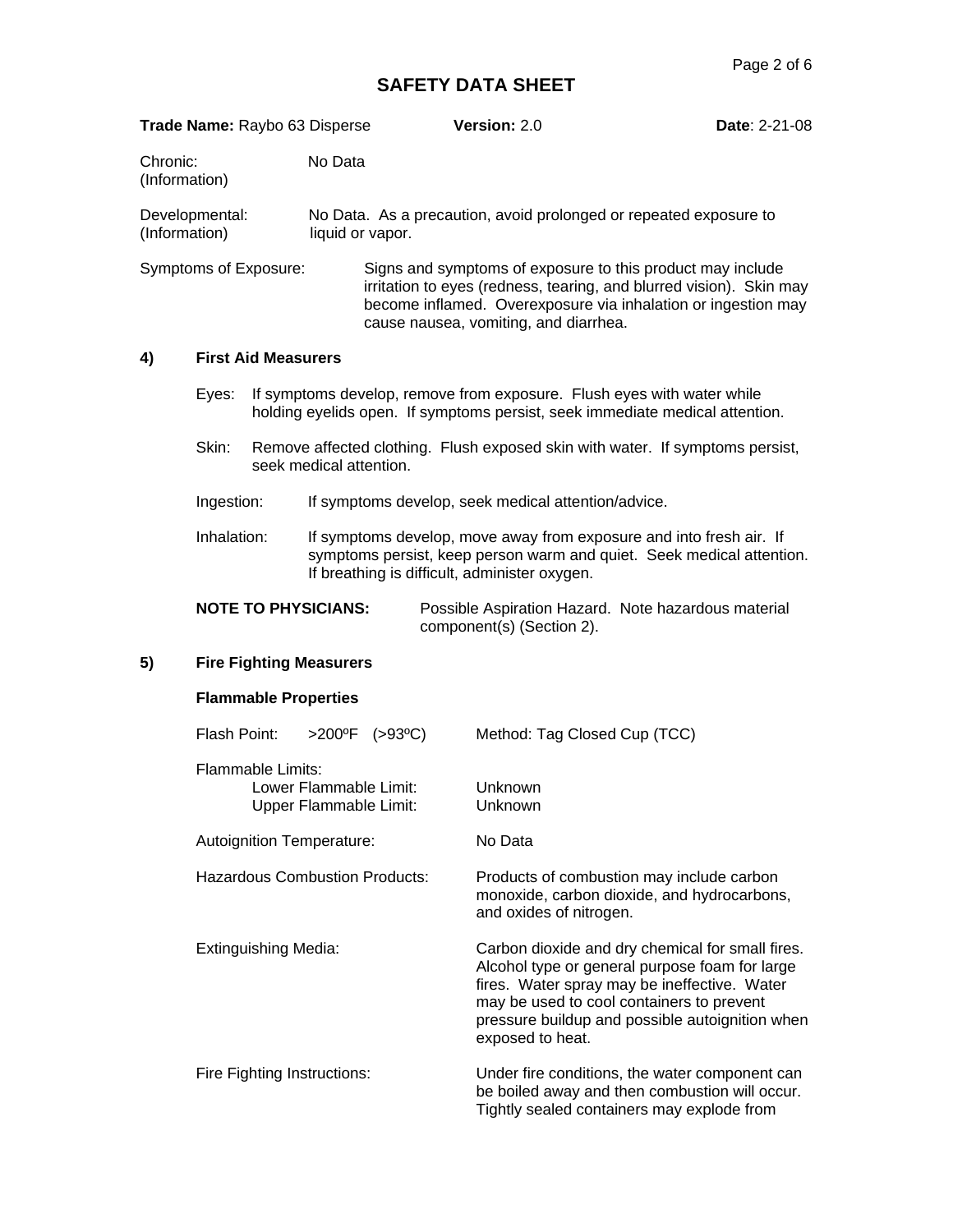|                           |                |                             | Trade Name: Raybo 63 Disperse                    |                                       | Version: 2.0                                                                                                                                                                                                                                                           | <b>Date: 2-21-08</b> |
|---------------------------|----------------|-----------------------------|--------------------------------------------------|---------------------------------------|------------------------------------------------------------------------------------------------------------------------------------------------------------------------------------------------------------------------------------------------------------------------|----------------------|
| Chronic:<br>(Information) |                |                             | No Data                                          |                                       |                                                                                                                                                                                                                                                                        |                      |
| (Information)             | Developmental: |                             | liquid or vapor.                                 |                                       | No Data. As a precaution, avoid prolonged or repeated exposure to                                                                                                                                                                                                      |                      |
|                           |                | Symptoms of Exposure:       |                                                  |                                       | Signs and symptoms of exposure to this product may include<br>irritation to eyes (redness, tearing, and blurred vision). Skin may<br>become inflamed. Overexposure via inhalation or ingestion may<br>cause nausea, vomiting, and diarrhea.                            |                      |
| 4)                        |                | <b>First Aid Measurers</b>  |                                                  |                                       |                                                                                                                                                                                                                                                                        |                      |
|                           | Eyes:          |                             |                                                  |                                       | If symptoms develop, remove from exposure. Flush eyes with water while<br>holding eyelids open. If symptoms persist, seek immediate medical attention.                                                                                                                 |                      |
|                           | Skin:          |                             | seek medical attention.                          |                                       | Remove affected clothing. Flush exposed skin with water. If symptoms persist,                                                                                                                                                                                          |                      |
|                           | Ingestion:     |                             |                                                  |                                       | If symptoms develop, seek medical attention/advice.                                                                                                                                                                                                                    |                      |
|                           | Inhalation:    |                             |                                                  |                                       | If symptoms develop, move away from exposure and into fresh air. If<br>symptoms persist, keep person warm and quiet. Seek medical attention.<br>If breathing is difficult, administer oxygen.                                                                          |                      |
|                           |                |                             | <b>NOTE TO PHYSICIANS:</b>                       |                                       | Possible Aspiration Hazard. Note hazardous material<br>component(s) (Section 2).                                                                                                                                                                                       |                      |
| 5)                        |                |                             | <b>Fire Fighting Measurers</b>                   |                                       |                                                                                                                                                                                                                                                                        |                      |
|                           |                | <b>Flammable Properties</b> |                                                  |                                       |                                                                                                                                                                                                                                                                        |                      |
|                           | Flash Point:   |                             |                                                  | $>200^{\circ}F$ ( $>93^{\circ}C$ )    | Method: Tag Closed Cup (TCC)                                                                                                                                                                                                                                           |                      |
|                           |                | <b>Flammable Limits:</b>    | Lower Flammable Limit:<br>Upper Flammable Limit: |                                       | Unknown<br>Unknown                                                                                                                                                                                                                                                     |                      |
|                           |                |                             | Autoignition Temperature:                        |                                       | No Data                                                                                                                                                                                                                                                                |                      |
|                           |                |                             |                                                  | <b>Hazardous Combustion Products:</b> | Products of combustion may include carbon<br>monoxide, carbon dioxide, and hydrocarbons,<br>and oxides of nitrogen.                                                                                                                                                    |                      |
|                           |                | <b>Extinguishing Media:</b> |                                                  |                                       | Carbon dioxide and dry chemical for small fires.<br>Alcohol type or general purpose foam for large<br>fires. Water spray may be ineffective. Water<br>may be used to cool containers to prevent<br>pressure buildup and possible autoignition when<br>exposed to heat. |                      |
|                           |                |                             | Fire Fighting Instructions:                      |                                       | Under fire conditions, the water component can<br>be boiled away and then combustion will occur.<br>Tightly sealed containers may explode from                                                                                                                         |                      |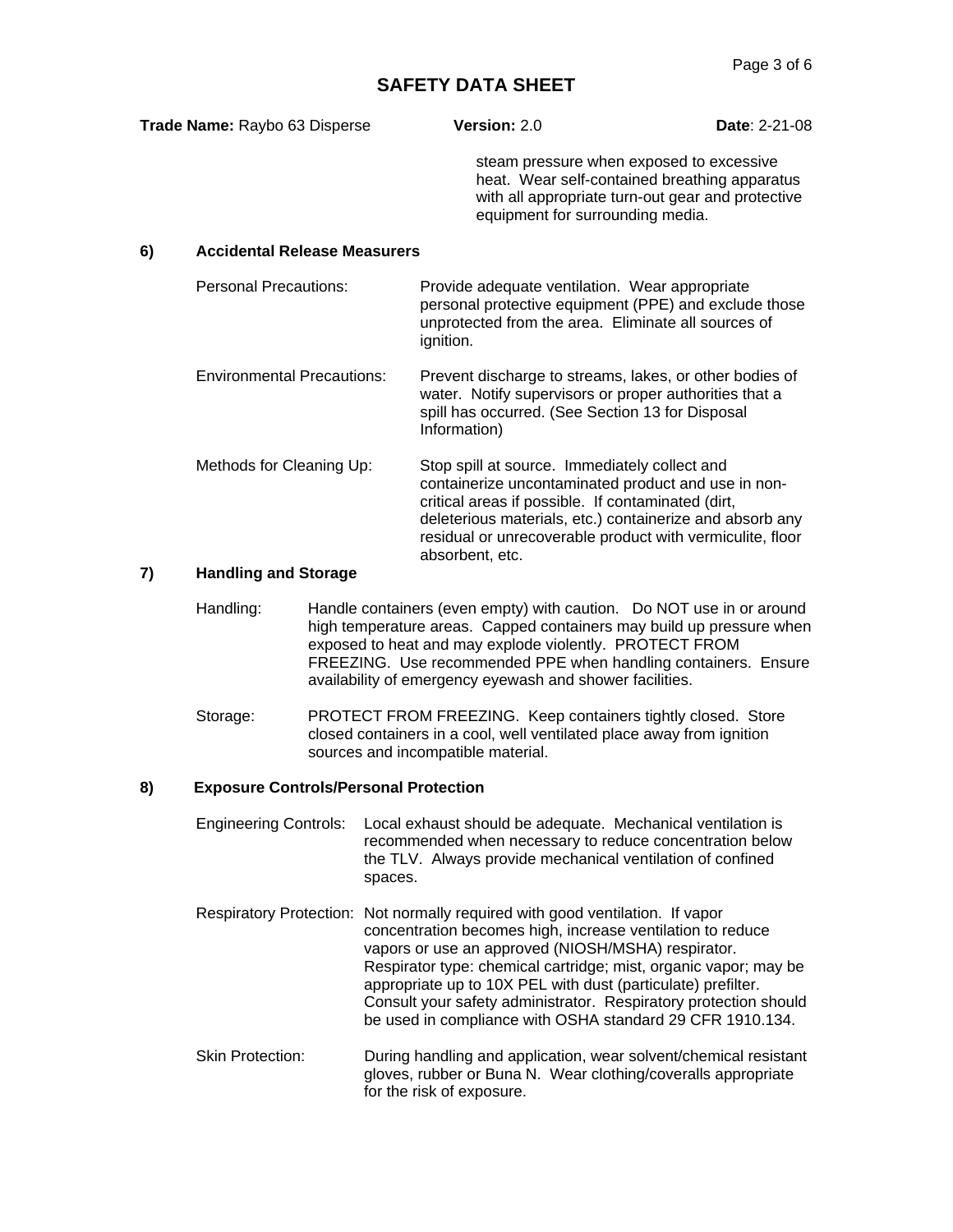| Trade Name: Raybo 63 Disperse |                                     | Version: 2.0                                                                                                                                                                                                                                                                                           | <b>Date: 2-21-08</b>                                                                               |
|-------------------------------|-------------------------------------|--------------------------------------------------------------------------------------------------------------------------------------------------------------------------------------------------------------------------------------------------------------------------------------------------------|----------------------------------------------------------------------------------------------------|
|                               |                                     | steam pressure when exposed to excessive<br>equipment for surrounding media.                                                                                                                                                                                                                           | heat. Wear self-contained breathing apparatus<br>with all appropriate turn-out gear and protective |
| 6)                            | <b>Accidental Release Measurers</b> |                                                                                                                                                                                                                                                                                                        |                                                                                                    |
|                               | <b>Personal Precautions:</b>        | Provide adequate ventilation. Wear appropriate<br>personal protective equipment (PPE) and exclude those<br>unprotected from the area. Eliminate all sources of<br>ignition.                                                                                                                            |                                                                                                    |
|                               | <b>Environmental Precautions:</b>   | Prevent discharge to streams, lakes, or other bodies of<br>water. Notify supervisors or proper authorities that a<br>spill has occurred. (See Section 13 for Disposal<br>Information)                                                                                                                  |                                                                                                    |
|                               | Methods for Cleaning Up:            | Stop spill at source. Immediately collect and<br>containerize uncontaminated product and use in non-<br>critical areas if possible. If contaminated (dirt,<br>deleterious materials, etc.) containerize and absorb any<br>residual or unrecoverable product with vermiculite, floor<br>absorbent, etc. |                                                                                                    |

#### **7) Handling and Storage**

- Handling: Handle containers (even empty) with caution. Do NOT use in or around high temperature areas. Capped containers may build up pressure when exposed to heat and may explode violently. PROTECT FROM FREEZING. Use recommended PPE when handling containers. Ensure availability of emergency eyewash and shower facilities.
- Storage: PROTECT FROM FREEZING. Keep containers tightly closed. Store closed containers in a cool, well ventilated place away from ignition sources and incompatible material.

#### **8) Exposure Controls/Personal Protection**

- Engineering Controls: Local exhaust should be adequate. Mechanical ventilation is recommended when necessary to reduce concentration below the TLV. Always provide mechanical ventilation of confined spaces.
- Respiratory Protection: Not normally required with good ventilation. If vapor concentration becomes high, increase ventilation to reduce vapors or use an approved (NIOSH/MSHA) respirator. Respirator type: chemical cartridge; mist, organic vapor; may be appropriate up to 10X PEL with dust (particulate) prefilter. Consult your safety administrator. Respiratory protection should be used in compliance with OSHA standard 29 CFR 1910.134.
- Skin Protection: During handling and application, wear solvent/chemical resistant gloves, rubber or Buna N. Wear clothing/coveralls appropriate for the risk of exposure.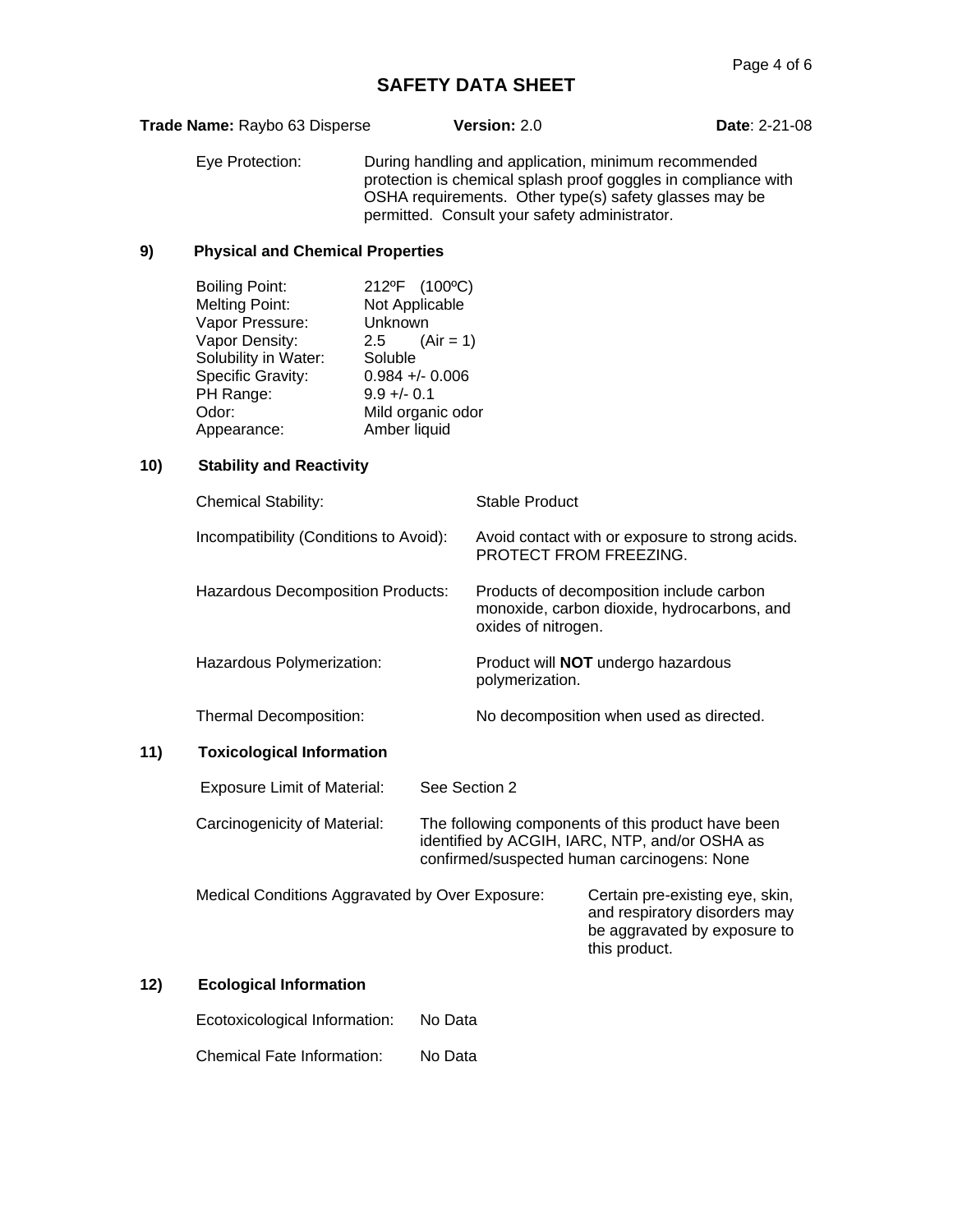| Trade Name: Raybo 63 Disperse          |                                                                                                                                                                       |                                                                                                                                         | Version: 2.0                                                                                                   |                                                                           | <b>Date: 2-21-08</b>                                                                                                                                                             |  |
|----------------------------------------|-----------------------------------------------------------------------------------------------------------------------------------------------------------------------|-----------------------------------------------------------------------------------------------------------------------------------------|----------------------------------------------------------------------------------------------------------------|---------------------------------------------------------------------------|----------------------------------------------------------------------------------------------------------------------------------------------------------------------------------|--|
|                                        | Eye Protection:                                                                                                                                                       |                                                                                                                                         |                                                                                                                | permitted. Consult your safety administrator.                             | During handling and application, minimum recommended<br>protection is chemical splash proof goggles in compliance with<br>OSHA requirements. Other type(s) safety glasses may be |  |
| 9)                                     | <b>Physical and Chemical Properties</b>                                                                                                                               |                                                                                                                                         |                                                                                                                |                                                                           |                                                                                                                                                                                  |  |
|                                        | <b>Boiling Point:</b><br><b>Melting Point:</b><br>Vapor Pressure:<br>Vapor Density:<br>Solubility in Water:<br>Specific Gravity:<br>PH Range:<br>Odor:<br>Appearance: | 212ºF (100°C)<br>Not Applicable<br>Unknown<br>2.5<br>Soluble<br>$0.984 +/- 0.006$<br>$9.9 +/- 0.1$<br>Mild organic odor<br>Amber liquid | $(Air = 1)$                                                                                                    |                                                                           |                                                                                                                                                                                  |  |
| 10)                                    | <b>Stability and Reactivity</b>                                                                                                                                       |                                                                                                                                         |                                                                                                                |                                                                           |                                                                                                                                                                                  |  |
|                                        | <b>Chemical Stability:</b>                                                                                                                                            |                                                                                                                                         |                                                                                                                | <b>Stable Product</b>                                                     |                                                                                                                                                                                  |  |
| Incompatibility (Conditions to Avoid): |                                                                                                                                                                       |                                                                                                                                         |                                                                                                                | Avoid contact with or exposure to strong acids.<br>PROTECT FROM FREEZING. |                                                                                                                                                                                  |  |
|                                        | <b>Hazardous Decomposition Products:</b>                                                                                                                              |                                                                                                                                         | Products of decomposition include carbon<br>monoxide, carbon dioxide, hydrocarbons, and<br>oxides of nitrogen. |                                                                           |                                                                                                                                                                                  |  |
|                                        | Hazardous Polymerization:                                                                                                                                             |                                                                                                                                         |                                                                                                                | polymerization.                                                           | Product will <b>NOT</b> undergo hazardous                                                                                                                                        |  |
|                                        | Thermal Decomposition:                                                                                                                                                |                                                                                                                                         |                                                                                                                |                                                                           | No decomposition when used as directed.                                                                                                                                          |  |
| 11)                                    | <b>Toxicological Information</b>                                                                                                                                      |                                                                                                                                         |                                                                                                                |                                                                           |                                                                                                                                                                                  |  |
|                                        | <b>Exposure Limit of Material:</b>                                                                                                                                    |                                                                                                                                         | See Section 2                                                                                                  |                                                                           |                                                                                                                                                                                  |  |
|                                        | Carcinogenicity of Material:                                                                                                                                          |                                                                                                                                         |                                                                                                                |                                                                           | The following components of this product have been<br>identified by ACGIH, IARC, NTP, and/or OSHA as<br>confirmed/suspected human carcinogens: None                              |  |
|                                        | Medical Conditions Aggravated by Over Exposure:                                                                                                                       |                                                                                                                                         |                                                                                                                |                                                                           | Certain pre-existing eye, skin,<br>and respiratory disorders may<br>be aggravated by exposure to<br>this product.                                                                |  |
| 12)                                    | <b>Ecological Information</b>                                                                                                                                         |                                                                                                                                         |                                                                                                                |                                                                           |                                                                                                                                                                                  |  |
|                                        | Ecotoxicological Information:                                                                                                                                         |                                                                                                                                         | No Data                                                                                                        |                                                                           |                                                                                                                                                                                  |  |

Chemical Fate Information: No Data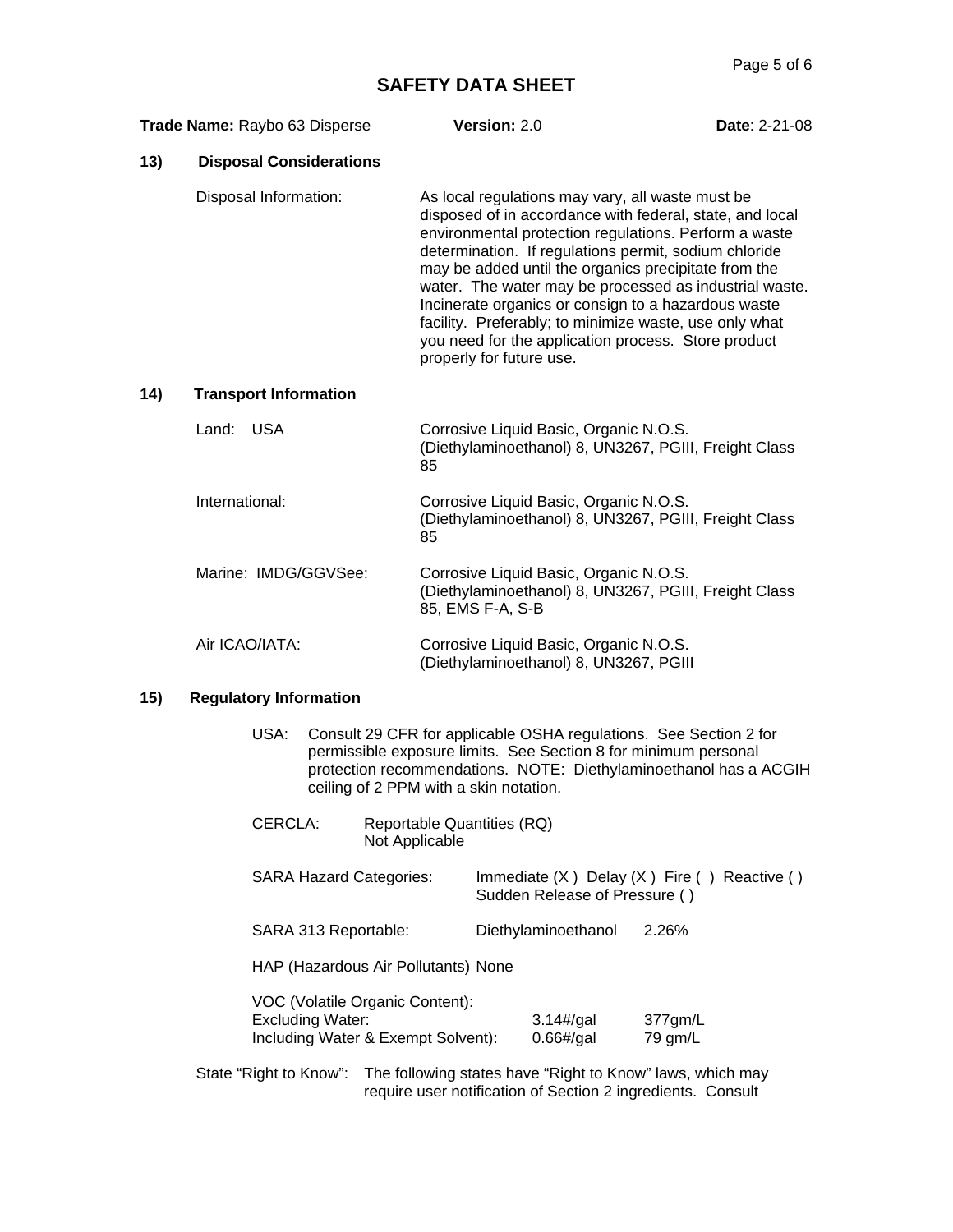| Trade Name: Raybo 63 Disperse |                                | Version: 2.0                                                                                                                                                                                                                                                                                                                                                                                                                                                                                                                                         | <b>Date: 2-21-08</b> |
|-------------------------------|--------------------------------|------------------------------------------------------------------------------------------------------------------------------------------------------------------------------------------------------------------------------------------------------------------------------------------------------------------------------------------------------------------------------------------------------------------------------------------------------------------------------------------------------------------------------------------------------|----------------------|
| 13)                           | <b>Disposal Considerations</b> |                                                                                                                                                                                                                                                                                                                                                                                                                                                                                                                                                      |                      |
|                               | Disposal Information:          | As local regulations may vary, all waste must be<br>disposed of in accordance with federal, state, and local<br>environmental protection regulations. Perform a waste<br>determination. If regulations permit, sodium chloride<br>may be added until the organics precipitate from the<br>water. The water may be processed as industrial waste.<br>Incinerate organics or consign to a hazardous waste<br>facility. Preferably; to minimize waste, use only what<br>you need for the application process. Store product<br>properly for future use. |                      |
| 14)                           | <b>Transport Information</b>   |                                                                                                                                                                                                                                                                                                                                                                                                                                                                                                                                                      |                      |
|                               | Land: USA                      | Corrosive Liquid Basic, Organic N.O.S.<br>(Diethylaminoethanol) 8, UN3267, PGIII, Freight Class<br>85                                                                                                                                                                                                                                                                                                                                                                                                                                                |                      |
|                               | International:                 | Corrosive Liquid Basic, Organic N.O.S.<br>(Diethylaminoethanol) 8, UN3267, PGIII, Freight Class<br>85                                                                                                                                                                                                                                                                                                                                                                                                                                                |                      |
|                               | Marine: IMDG/GGVSee:           | Corrosive Liquid Basic, Organic N.O.S.<br>(Diethylaminoethanol) 8, UN3267, PGIII, Freight Class<br>85, EMS F-A, S-B                                                                                                                                                                                                                                                                                                                                                                                                                                  |                      |
|                               | Air ICAO/IATA:                 | Corrosive Liquid Basic, Organic N.O.S.<br>(Diethylaminoethanol) 8, UN3267, PGIII                                                                                                                                                                                                                                                                                                                                                                                                                                                                     |                      |
| 15)                           | <b>Regulatory Information</b>  |                                                                                                                                                                                                                                                                                                                                                                                                                                                                                                                                                      |                      |
|                               | USA:                           | Consult 29 CFR for applicable OSHA regulations. See Section 2 for                                                                                                                                                                                                                                                                                                                                                                                                                                                                                    |                      |

- permissible exposure limits. See Section 8 for minimum personal protection recommendations. NOTE: Diethylaminoethanol has a ACGIH ceiling of 2 PPM with a skin notation.
- CERCLA: Reportable Quantities (RQ) Not Applicable

| <b>SARA Hazard Categories:</b>                                                                   | Sudden Release of Pressure ()        | Immediate $(X)$ Delay $(X)$ Fire () Reactive () |  |
|--------------------------------------------------------------------------------------------------|--------------------------------------|-------------------------------------------------|--|
| SARA 313 Reportable:                                                                             | Diethylaminoethanol                  | 2.26%                                           |  |
| HAP (Hazardous Air Pollutants) None                                                              |                                      |                                                 |  |
| VOC (Volatile Organic Content):<br><b>Excluding Water:</b><br>Including Water & Exempt Solvent): | $3.14\frac{H}{g}$ al<br>$0.66$ #/gal | $377$ gm/L<br>79 gm/L                           |  |

State "Right to Know": The following states have "Right to Know" laws, which may require user notification of Section 2 ingredients. Consult